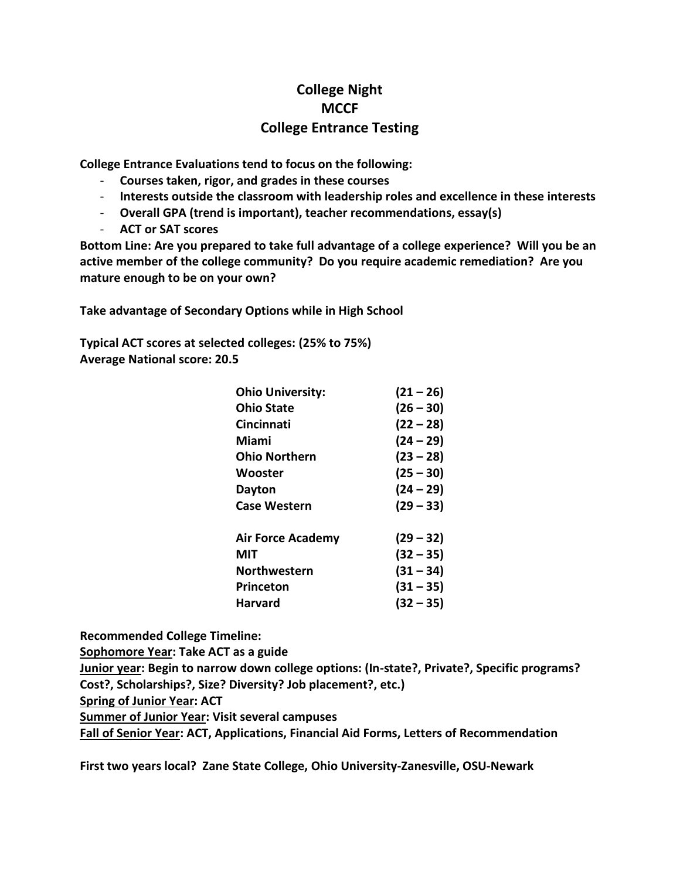# **College Night MCCF College Entrance Testing**

**College Entrance Evaluations tend to focus on the following:**

- **Courses taken, rigor, and grades in these courses**
- **Interests outside the classroom with leadership roles and excellence in these interests**
- **Overall GPA (trend is important), teacher recommendations, essay(s)**
- **ACT or SAT scores**

**Bottom Line: Are you prepared to take full advantage of a college experience? Will you be an active member of the college community? Do you require academic remediation? Are you mature enough to be on your own?**

**Take advantage of Secondary Options while in High School**

**Typical ACT scores at selected colleges: (25% to 75%) Average National score: 20.5**

| <b>Ohio University:</b>  | $(21 - 26)$ |
|--------------------------|-------------|
| <b>Ohio State</b>        | $(26 - 30)$ |
| <b>Cincinnati</b>        | $(22 - 28)$ |
| Miami                    | $(24 - 29)$ |
| Ohio Northern            | $(23 - 28)$ |
| Wooster                  | $(25 - 30)$ |
| Dayton                   | $(24 - 29)$ |
| <b>Case Western</b>      | $(29 - 33)$ |
| <b>Air Force Academy</b> | $(29 - 32)$ |
| MIT                      | $(32 - 35)$ |
| <b>Northwestern</b>      | $(31 - 34)$ |
| Princeton                | $(31 - 35)$ |
| Harvard                  | $(32 - 35)$ |

**Recommended College Timeline:**

**Sophomore Year: Take ACT as a guide**

**Junior year: Begin to narrow down college options: (In-state?, Private?, Specific programs? Cost?, Scholarships?, Size? Diversity? Job placement?, etc.)**

**Spring of Junior Year: ACT** 

**Summer of Junior Year: Visit several campuses**

**Fall of Senior Year: ACT, Applications, Financial Aid Forms, Letters of Recommendation**

**First two years local? Zane State College, Ohio University-Zanesville, OSU-Newark**